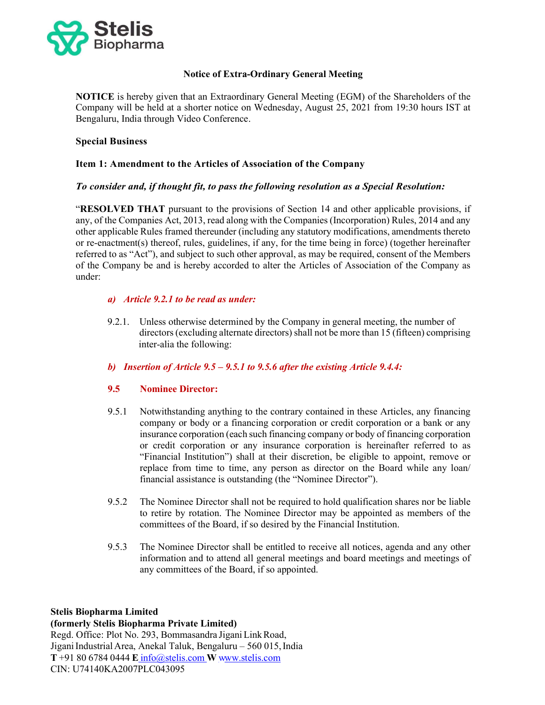

# Notice of Extra-Ordinary General Meeting

NOTICE is hereby given that an Extraordinary General Meeting (EGM) of the Shareholders of the Company will be held at a shorter notice on Wednesday, August 25, 2021 from 19:30 hours IST at Bengaluru, India through Video Conference.

# Special Business

# Item 1: Amendment to the Articles of Association of the Company

# To consider and, if thought fit, to pass the following resolution as a Special Resolution:

"RESOLVED THAT pursuant to the provisions of Section 14 and other applicable provisions, if any, of the Companies Act, 2013, read along with the Companies (Incorporation) Rules, 2014 and any other applicable Rules framed thereunder (including any statutory modifications, amendments thereto or re-enactment(s) thereof, rules, guidelines, if any, for the time being in force) (together hereinafter referred to as "Act"), and subject to such other approval, as may be required, consent of the Members of the Company be and is hereby accorded to alter the Articles of Association of the Company as under:

# a) Article 9.2.1 to be read as under:

 9.2.1. Unless otherwise determined by the Company in general meeting, the number of directors (excluding alternate directors) shall not be more than 15 (fifteen) comprising inter-alia the following:

# b) Insertion of Article 9.5 – 9.5.1 to 9.5.6 after the existing Article 9.4.4:

# 9.5 Nominee Director:

- 9.5.1 Notwithstanding anything to the contrary contained in these Articles, any financing company or body or a financing corporation or credit corporation or a bank or any insurance corporation (each such financing company or body of financing corporation or credit corporation or any insurance corporation is hereinafter referred to as "Financial Institution") shall at their discretion, be eligible to appoint, remove or replace from time to time, any person as director on the Board while any loan/ financial assistance is outstanding (the "Nominee Director").
- 9.5.2 The Nominee Director shall not be required to hold qualification shares nor be liable to retire by rotation. The Nominee Director may be appointed as members of the committees of the Board, if so desired by the Financial Institution.
- 9.5.3 The Nominee Director shall be entitled to receive all notices, agenda and any other information and to attend all general meetings and board meetings and meetings of any committees of the Board, if so appointed.

# Stelis Biopharma Limited

### (formerly Stelis Biopharma Private Limited)

Regd. Office: Plot No. 293, Bommasandra Jigani Link Road, Jigani Industrial Area, Anekal Taluk, Bengaluru – 560 015, India  $T + 918067840444$  E info@stelis.com W www.stelis.com CIN: U74140KA2007PLC043095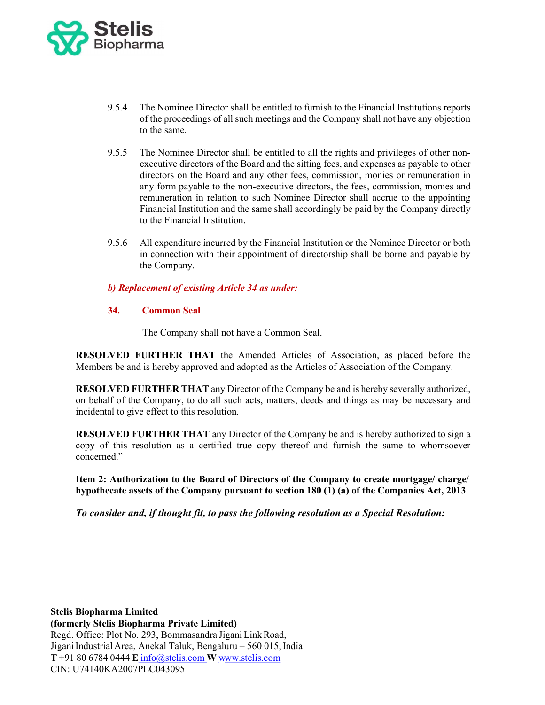

- 9.5.4 The Nominee Director shall be entitled to furnish to the Financial Institutions reports of the proceedings of all such meetings and the Company shall not have any objection to the same.
- 9.5.5 The Nominee Director shall be entitled to all the rights and privileges of other nonexecutive directors of the Board and the sitting fees, and expenses as payable to other directors on the Board and any other fees, commission, monies or remuneration in any form payable to the non-executive directors, the fees, commission, monies and remuneration in relation to such Nominee Director shall accrue to the appointing Financial Institution and the same shall accordingly be paid by the Company directly to the Financial Institution.
- 9.5.6 All expenditure incurred by the Financial Institution or the Nominee Director or both in connection with their appointment of directorship shall be borne and payable by the Company.

# b) Replacement of existing Article 34 as under:

### 34. Common Seal

The Company shall not have a Common Seal.

RESOLVED FURTHER THAT the Amended Articles of Association, as placed before the Members be and is hereby approved and adopted as the Articles of Association of the Company.

RESOLVED FURTHER THAT any Director of the Company be and is hereby severally authorized, on behalf of the Company, to do all such acts, matters, deeds and things as may be necessary and incidental to give effect to this resolution.

RESOLVED FURTHER THAT any Director of the Company be and is hereby authorized to sign a copy of this resolution as a certified true copy thereof and furnish the same to whomsoever concerned."

Item 2: Authorization to the Board of Directors of the Company to create mortgage/ charge/ hypothecate assets of the Company pursuant to section 180 (1) (a) of the Companies Act, 2013

To consider and, if thought fit, to pass the following resolution as a Special Resolution: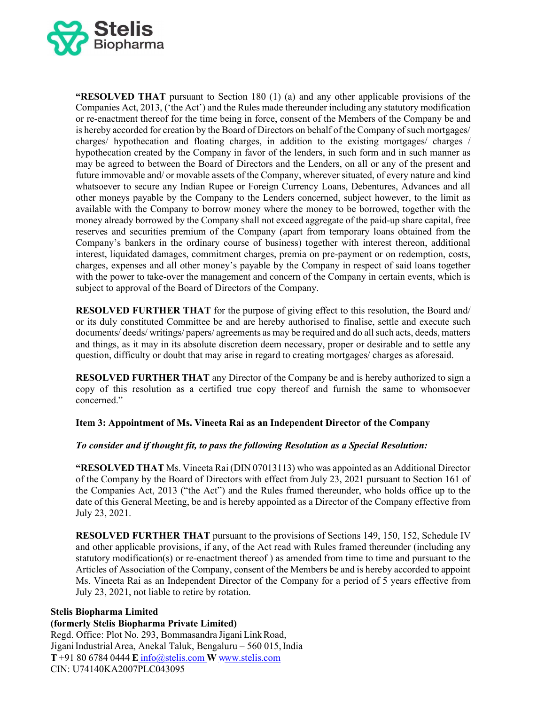

"RESOLVED THAT pursuant to Section 180 (1) (a) and any other applicable provisions of the Companies Act, 2013, ('the Act') and the Rules made thereunder including any statutory modification or re-enactment thereof for the time being in force, consent of the Members of the Company be and is hereby accorded for creation by the Board of Directors on behalf of the Company of such mortgages/ charges/ hypothecation and floating charges, in addition to the existing mortgages/ charges / hypothecation created by the Company in favor of the lenders, in such form and in such manner as may be agreed to between the Board of Directors and the Lenders, on all or any of the present and future immovable and/ or movable assets of the Company, wherever situated, of every nature and kind whatsoever to secure any Indian Rupee or Foreign Currency Loans, Debentures, Advances and all other moneys payable by the Company to the Lenders concerned, subject however, to the limit as available with the Company to borrow money where the money to be borrowed, together with the money already borrowed by the Company shall not exceed aggregate of the paid-up share capital, free reserves and securities premium of the Company (apart from temporary loans obtained from the Company's bankers in the ordinary course of business) together with interest thereon, additional interest, liquidated damages, commitment charges, premia on pre-payment or on redemption, costs, charges, expenses and all other money's payable by the Company in respect of said loans together with the power to take-over the management and concern of the Company in certain events, which is subject to approval of the Board of Directors of the Company.

RESOLVED FURTHER THAT for the purpose of giving effect to this resolution, the Board and/ or its duly constituted Committee be and are hereby authorised to finalise, settle and execute such documents/ deeds/ writings/ papers/ agreements as may be required and do all such acts, deeds, matters and things, as it may in its absolute discretion deem necessary, proper or desirable and to settle any question, difficulty or doubt that may arise in regard to creating mortgages/ charges as aforesaid.

RESOLVED FURTHER THAT any Director of the Company be and is hereby authorized to sign a copy of this resolution as a certified true copy thereof and furnish the same to whomsoever concerned."

# Item 3: Appointment of Ms. Vineeta Rai as an Independent Director of the Company

# To consider and if thought fit, to pass the following Resolution as a Special Resolution:

"RESOLVED THAT Ms. Vineeta Rai (DIN 07013113) who was appointed as an Additional Director of the Company by the Board of Directors with effect from July 23, 2021 pursuant to Section 161 of the Companies Act, 2013 ("the Act") and the Rules framed thereunder, who holds office up to the date of this General Meeting, be and is hereby appointed as a Director of the Company effective from July 23, 2021.

RESOLVED FURTHER THAT pursuant to the provisions of Sections 149, 150, 152, Schedule IV and other applicable provisions, if any, of the Act read with Rules framed thereunder (including any statutory modification(s) or re-enactment thereof ) as amended from time to time and pursuant to the Articles of Association of the Company, consent of the Members be and is hereby accorded to appoint Ms. Vineeta Rai as an Independent Director of the Company for a period of 5 years effective from July 23, 2021, not liable to retire by rotation.

# Stelis Biopharma Limited

### (formerly Stelis Biopharma Private Limited)

Regd. Office: Plot No. 293, Bommasandra Jigani Link Road, Jigani Industrial Area, Anekal Taluk, Bengaluru – 560 015, India  $T + 918067840444$  E info@stelis.com W www.stelis.com CIN: U74140KA2007PLC043095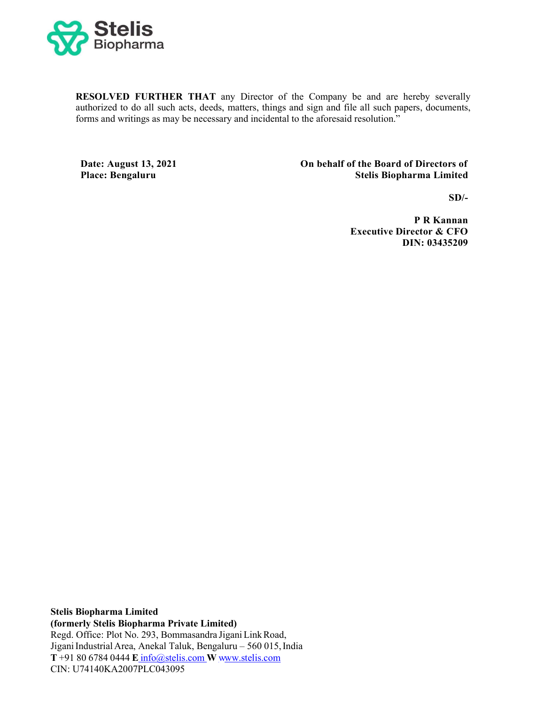

RESOLVED FURTHER THAT any Director of the Company be and are hereby severally authorized to do all such acts, deeds, matters, things and sign and file all such papers, documents, forms and writings as may be necessary and incidental to the aforesaid resolution."

Date: August 13, 2021 Place: Bengaluru

 On behalf of the Board of Directors of Stelis Biopharma Limited

 $SD/-$ 

P R Kannan Executive Director & CFO DIN: 03435209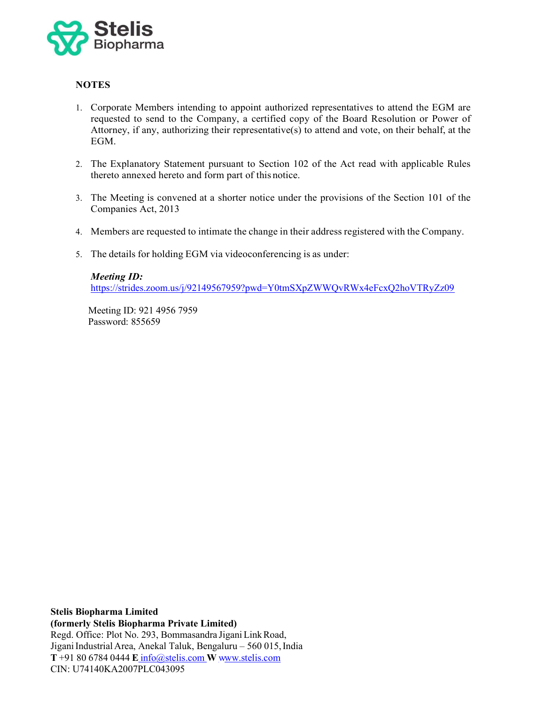

# **NOTES**

- 1. Corporate Members intending to appoint authorized representatives to attend the EGM are requested to send to the Company, a certified copy of the Board Resolution or Power of Attorney, if any, authorizing their representative(s) to attend and vote, on their behalf, at the EGM.
- 2. The Explanatory Statement pursuant to Section 102 of the Act read with applicable Rules thereto annexed hereto and form part of this notice.
- 3. The Meeting is convened at a shorter notice under the provisions of the Section 101 of the Companies Act, 2013
- 4. Members are requested to intimate the change in their address registered with the Company.
- 5. The details for holding EGM via videoconferencing is as under:

# Meeting ID: https://strides.zoom.us/j/92149567959?pwd=Y0tmSXpZWWQvRWx4eFcxQ2hoVTRyZz09

Meeting ID: 921 4956 7959 Password: 855659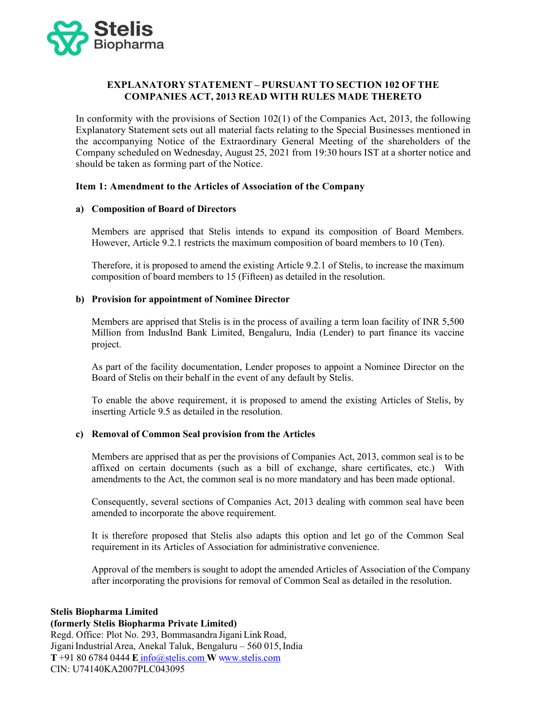

# EXPLANATORY STATEMENT – PURSUANT TO SECTION 102 OF THE COMPANIES ACT, 2013 READ WITH RULES MADE THERETO

In conformity with the provisions of Section 102(1) of the Companies Act, 2013, the following Explanatory Statement sets out all material facts relating to the Special Businesses mentioned in the accompanying Notice of the Extraordinary General Meeting of the shareholders of the Company scheduled on Wednesday, August 25, 2021 from 19:30 hours IST at a shorter notice and should be taken as forming part of the Notice.

### Item 1: Amendment to the Articles of Association of the Company

### a) Composition of Board of Directors

Members are apprised that Stelis intends to expand its composition of Board Members. However, Article 9.2.1 restricts the maximum composition of board members to 10 (Ten).

Therefore, it is proposed to amend the existing Article 9.2.1 of Stelis, to increase the maximum composition of board members to 15 (Fifteen) as detailed in the resolution.

### b) Provision for appointment of Nominee Director

Members are apprised that Stelis is in the process of availing a term loan facility of INR 5,500 Million from IndusInd Bank Limited, Bengaluru, India (Lender) to part finance its vaccine project.

As part of the facility documentation, Lender proposes to appoint a Nominee Director on the Board of Stelis on their behalf in the event of any default by Stelis.

To enable the above requirement, it is proposed to amend the existing Articles of Stelis, by inserting Article 9.5 as detailed in the resolution.

# c) Removal of Common Seal provision from the Articles

Members are apprised that as per the provisions of Companies Act, 2013, common seal is to be affixed on certain documents (such as a bill of exchange, share certificates, etc.) With amendments to the Act, the common seal is no more mandatory and has been made optional.

Consequently, several sections of Companies Act, 2013 dealing with common seal have been amended to incorporate the above requirement.

It is therefore proposed that Stelis also adapts this option and let go of the Common Seal requirement in its Articles of Association for administrative convenience.

Approval of the members is sought to adopt the amended Articles of Association of the Company after incorporating the provisions for removal of Common Seal as detailed in the resolution.

#### Stelis Biopharma Limited

#### (formerly Stelis Biopharma Private Limited)

Regd. Office: Plot No. 293, Bommasandra Jigani Link Road, Jigani Industrial Area, Anekal Taluk, Bengaluru – 560 015, India  $T + 918067840444$  E info@stelis.com W www.stelis.com CIN: U74140KA2007PLC043095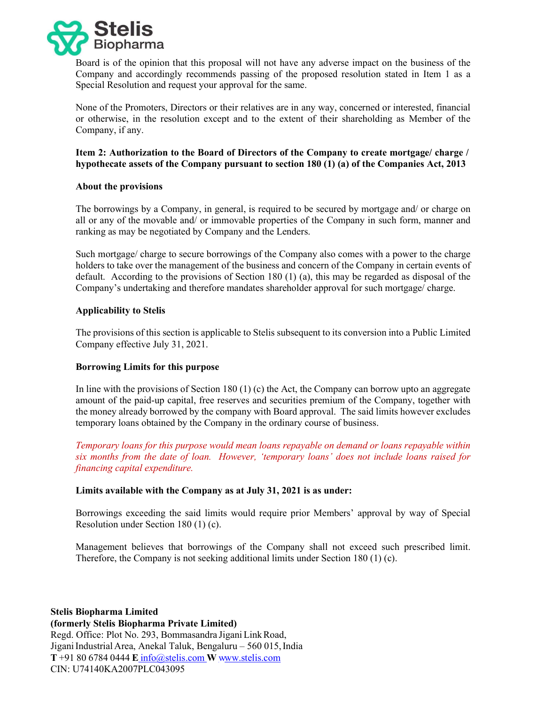

Board is of the opinion that this proposal will not have any adverse impact on the business of the Company and accordingly recommends passing of the proposed resolution stated in Item 1 as a Special Resolution and request your approval for the same.

None of the Promoters, Directors or their relatives are in any way, concerned or interested, financial or otherwise, in the resolution except and to the extent of their shareholding as Member of the Company, if any.

Item 2: Authorization to the Board of Directors of the Company to create mortgage/ charge / hypothecate assets of the Company pursuant to section 180 (1) (a) of the Companies Act, 2013

### About the provisions

The borrowings by a Company, in general, is required to be secured by mortgage and/ or charge on all or any of the movable and/ or immovable properties of the Company in such form, manner and ranking as may be negotiated by Company and the Lenders.

Such mortgage/ charge to secure borrowings of the Company also comes with a power to the charge holders to take over the management of the business and concern of the Company in certain events of default. According to the provisions of Section 180 (1) (a), this may be regarded as disposal of the Company's undertaking and therefore mandates shareholder approval for such mortgage/ charge.

# Applicability to Stelis

The provisions of this section is applicable to Stelis subsequent to its conversion into a Public Limited Company effective July 31, 2021.

#### Borrowing Limits for this purpose

In line with the provisions of Section 180 (1) (c) the Act, the Company can borrow upto an aggregate amount of the paid‐up capital, free reserves and securities premium of the Company, together with the money already borrowed by the company with Board approval. The said limits however excludes temporary loans obtained by the Company in the ordinary course of business.

Temporary loans for this purpose would mean loans repayable on demand or loans repayable within six months from the date of loan. However, 'temporary loans' does not include loans raised for financing capital expenditure.

#### Limits available with the Company as at July 31, 2021 is as under:

Borrowings exceeding the said limits would require prior Members' approval by way of Special Resolution under Section 180 (1) (c).

Management believes that borrowings of the Company shall not exceed such prescribed limit. Therefore, the Company is not seeking additional limits under Section 180 (1) (c).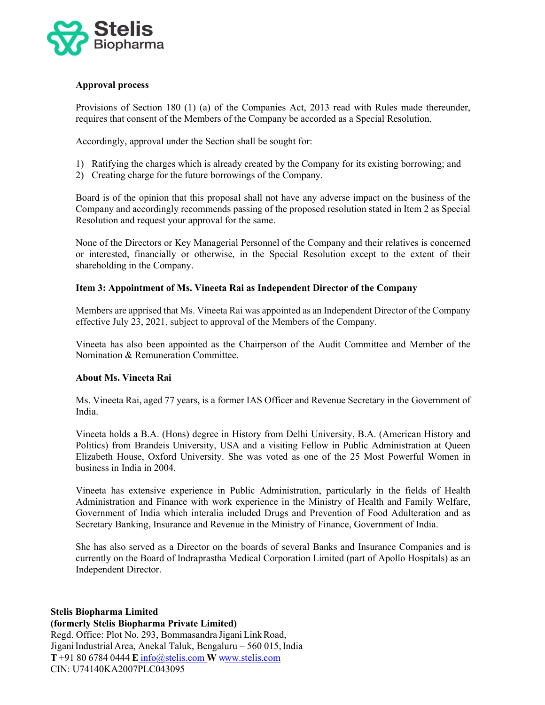

# Approval process

Provisions of Section 180 (1) (a) of the Companies Act, 2013 read with Rules made thereunder, requires that consent of the Members of the Company be accorded as a Special Resolution.

Accordingly, approval under the Section shall be sought for:

- 1) Ratifying the charges which is already created by the Company for its existing borrowing; and
- 2) Creating charge for the future borrowings of the Company.

Board is of the opinion that this proposal shall not have any adverse impact on the business of the Company and accordingly recommends passing of the proposed resolution stated in Item 2 as Special Resolution and request your approval for the same.

None of the Directors or Key Managerial Personnel of the Company and their relatives is concerned or interested, financially or otherwise, in the Special Resolution except to the extent of their shareholding in the Company.

# Item 3: Appointment of Ms. Vineeta Rai as Independent Director of the Company

Members are apprised that Ms. Vineeta Rai was appointed as an Independent Director of the Company effective July 23, 2021, subject to approval of the Members of the Company.

Vineeta has also been appointed as the Chairperson of the Audit Committee and Member of the Nomination & Remuneration Committee.

# About Ms. Vineeta Rai

Ms. Vineeta Rai, aged 77 years, is a former IAS Officer and Revenue Secretary in the Government of India.

Vineeta holds a B.A. (Hons) degree in History from Delhi University, B.A. (American History and Politics) from Brandeis University, USA and a visiting Fellow in Public Administration at Queen Elizabeth House, Oxford University. She was voted as one of the 25 Most Powerful Women in business in India in 2004.

Vineeta has extensive experience in Public Administration, particularly in the fields of Health Administration and Finance with work experience in the Ministry of Health and Family Welfare, Government of India which interalia included Drugs and Prevention of Food Adulteration and as Secretary Banking, Insurance and Revenue in the Ministry of Finance, Government of India.

She has also served as a Director on the boards of several Banks and Insurance Companies and is currently on the Board of Indraprastha Medical Corporation Limited (part of Apollo Hospitals) as an Independent Director.